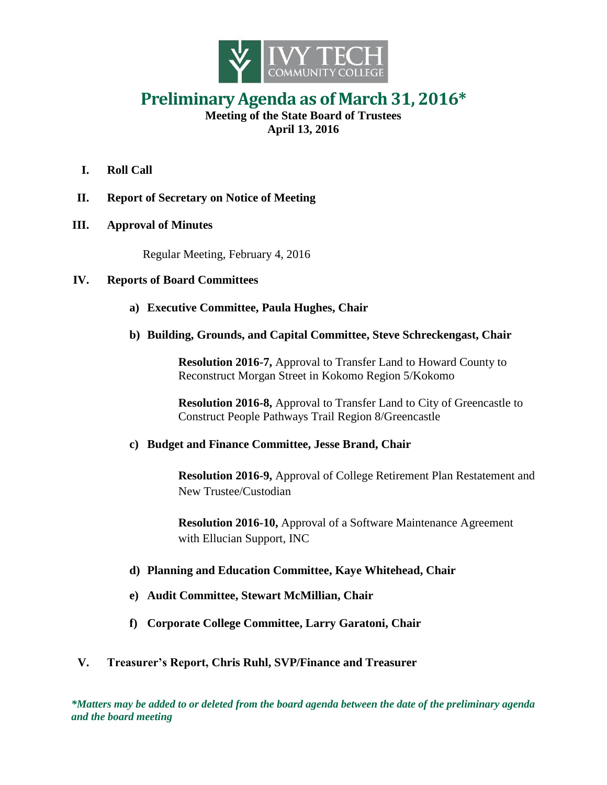

## **Preliminary Agenda as of March 31, 2016\***

**Meeting of the State Board of Trustees April 13, 2016**

- **I. Roll Call**
- **II. Report of Secretary on Notice of Meeting**
- **III. Approval of Minutes**

Regular Meeting, February 4, 2016

## **IV. Reports of Board Committees**

- **a) Executive Committee, Paula Hughes, Chair**
- **b) Building, Grounds, and Capital Committee, Steve Schreckengast, Chair**

**Resolution 2016-7,** Approval to Transfer Land to Howard County to Reconstruct Morgan Street in Kokomo Region 5/Kokomo

**Resolution 2016-8,** Approval to Transfer Land to City of Greencastle to Construct People Pathways Trail Region 8/Greencastle

## **c) Budget and Finance Committee, Jesse Brand, Chair**

**Resolution 2016-9,** Approval of College Retirement Plan Restatement and New Trustee/Custodian

**Resolution 2016-10,** Approval of a Software Maintenance Agreement with Ellucian Support, INC

- **d) Planning and Education Committee, Kaye Whitehead, Chair**
- **e) Audit Committee, Stewart McMillian, Chair**
- **f) Corporate College Committee, Larry Garatoni, Chair**

## **V. Treasurer's Report, Chris Ruhl, SVP/Finance and Treasurer**

*\*Matters may be added to or deleted from the board agenda between the date of the preliminary agenda and the board meeting*